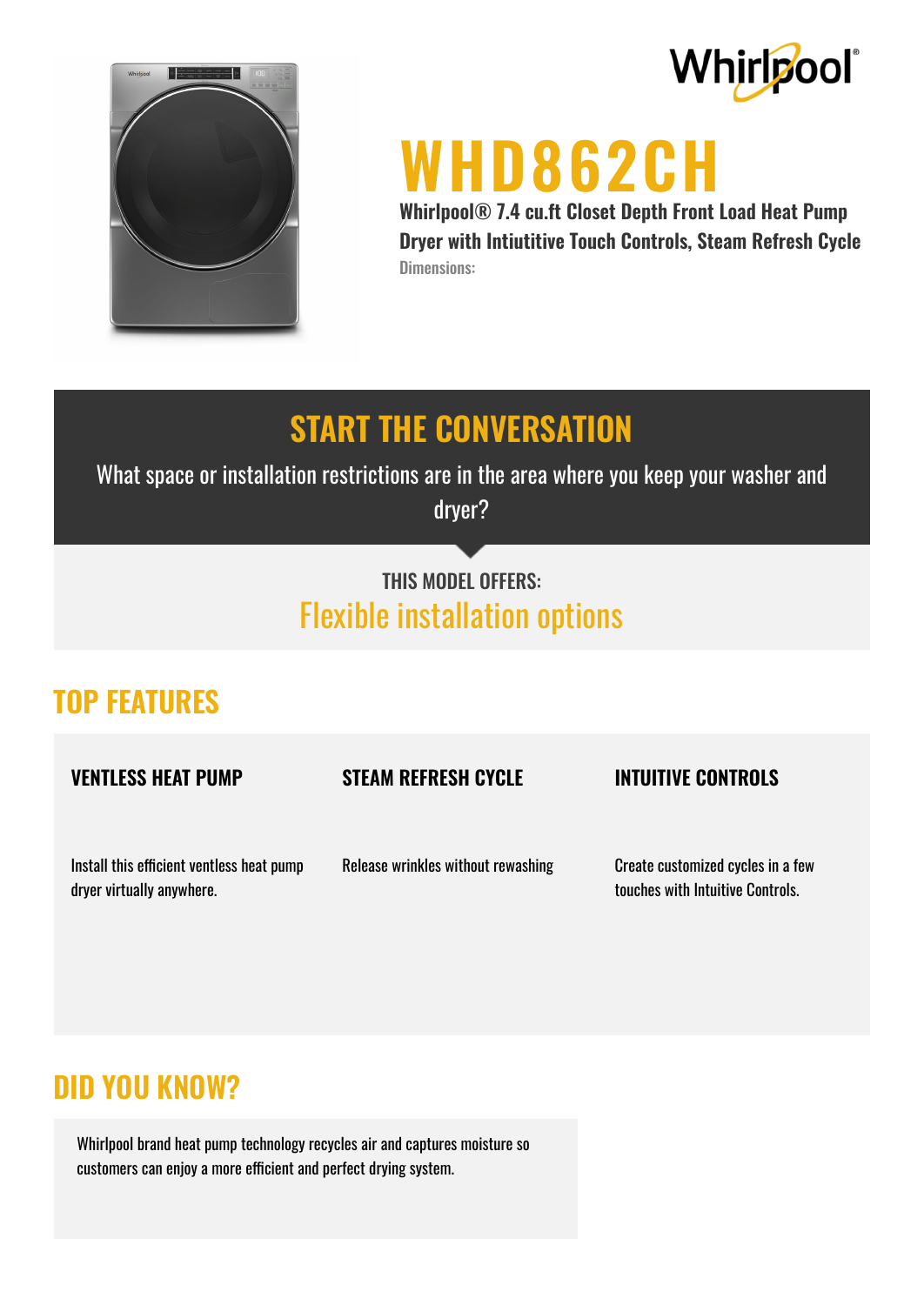



# **WHD862CH**

**Whirlpool® 7.4 cu.ft Closet Depth Front Load Heat Pump Dryer with Intiutitive Touch Controls, Steam Refresh Cycle** Dimensions:

### **START THE CONVERSATION**

What space or installation restrictions are in the area where you keep your washer and dryer?

#### THIS MODEL OFFERS: Flexible installation options

#### **TOP FEATURES**

**VENTLESS HEAT PUMP**

#### **STEAM REFRESH CYCLE**

#### **INTUITIVE CONTROLS**

Install this efficient ventless heat pump dryer virtually anywhere.

Release wrinkles without rewashing

Create customized cycles in a few touches with Intuitive Controls.

#### **DID YOU KNOW?**

Whirlpool brand heat pump technology recycles air and captures moisture so customers can enjoy a more efficient and perfect drying system.